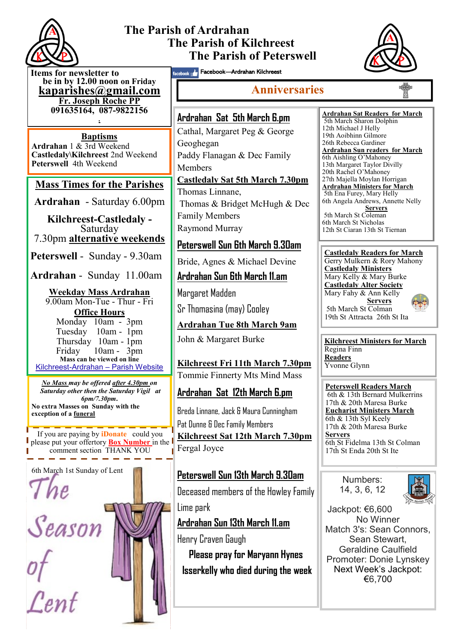

# **The Parish of Ardrahan The Parish of Kilchreest The Parish of Peterswell**



**Items for newsletter to be in by 12.00 noon on Friday [kaparishes@gmail.com](mailto:kaparish@gmail.com) Fr. Joseph Roche PP 091635164, 087-9822156 .**

**Baptisms Ardrahan** 1 & 3rd Weekend **Castledaly\Kilchreest** 2nd Weekend **Peterswell** 4th Weekend

### **Mass Times for the Parishes**

**Ardrahan** - Saturday 6.00pm

**Kilchreest-Castledaly -**  Saturday 7.30pm **alternative weekends**

**Peterswell** - Sunday - 9.30am

**Ardrahan** - Sunday 11.00am

#### **Weekday Mass Ardrahan**  9.00am Mon-Tue - Thur - Fri

**Office Hours**  Monday 10am - 3pm Tuesday 10am - 1pm Thursday 10am - 1pm Friday 10am - 3pm **Mass can be viewed on line**  Kilchreest-Ardrahan – Parish Website

*No Mass may be offered after 4.30pm on Saturday other then the Saturday Vigil at 6pm/7.30pm***. No extra Masses on Sunday with the exception of a funeral**

If you are paying by **iDonate** could you please put your offertory **Box Number** in the comment section THANK YOU

6th March 1st Sunday of Lent 7 he

Season

Cent

facebook **Araban Kilchreest** 

# **Anniversaries**

# **Ardrahan Sat 5th March 6.pm** Cathal, Margaret Peg & George

Geoghegan Paddy Flanagan & Dec Family Members **Castledaly Sat 5th March 7.30pm**

Thomas Linnane, Thomas & Bridget McHugh & Dec Family Members Raymond Murray

## **Peterswell Sun 6th March 9.30am**

Bride, Agnes & Michael Devine

#### **Ardrahan Sun 6th March 11.am**

Margaret Madden Sr Thomasina (may) Cooley

**Ardrahan Tue 8th March 9am**

John & Margaret Burke

**Kilchreest Fri 11th March 7.30pm** Tommie Finnerty Mts Mind Mass

### **Ardrahan Sat 12th March 6.pm**

Breda Linnane, Jack & Maura Cunningham Pat Dunne & Dec Family Members **Kilchreest Sat 12th March 7.30pm** Fergal Joyce

### **Peterswell Sun 13th March 9.30am**

Deceased members of the Howley Family Lime park

**Ardrahan Sun 13th March 11.am**

Henry Craven Gaugh

**Please pray for Maryann Hynes Isserkelly who died during the week** **Ardrahan Sat Readers for March**  5th March Sharon Dolphin 12th Michael J Helly 19th Aoibhinn Gilmore 26th Rebecca Gardiner **Ardrahan Sun readers for March** 6th Aishling O'Mahoney 13th Margaret Taylor Divilly 20th Rachel O'Mahoney 27th Majella Moylan Horrigan **Ardrahan Ministers for March** 5th Ena Furey, Mary Helly 6th Angela Andrews, Annette Nelly **Servers** 5th March St Coleman 6th March St Nicholas 12th St Ciaran 13th St Tiernan

#### **Castledaly Readers for March** Gerry Mulkern & Rory Mahony **Castledaly Ministers** Mary Kelly & Mary Burke **Castledaly Alter Society** Mary Fahy & Ann Kelly **Servers** 5th March St Colman 19th St Attracta 26th St Ita

**Kilchreest Ministers for March** Regina Finn **Readers** Yvonne Glynn

**Peterswell Readers March** 6th & 13th Bernard Mulkerrins 17th & 20th Maresa Burke **Eucharist Ministers March** 6th & 13th Syl Keely 17th & 20th Maresa Burke **Servers** 6th St Fidelma 13th St Colman 17th St Enda 20th St Ite

> Numbers: 14, 3, 6, 12



Jackpot: €6,600 No Winner Match 3's: Sean Connors, Sean Stewart, Geraldine Caulfield Promoter: Donie Lynskey Next Week's Jackpot: €6,700